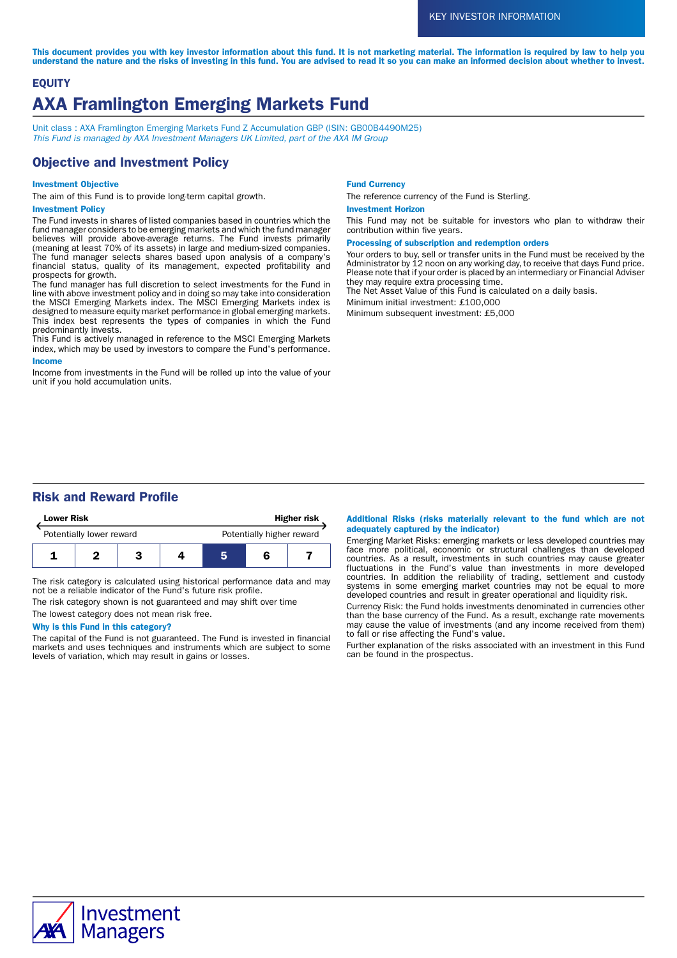This document provides you with key investor information about this fund. It is not marketing material. The information is required by law to help you understand the nature and the risks of investing in this fund. You are advised to read it so you can make an informed decision about whether to invest.

# **EQUITY** AXA Framlington Emerging Markets Fund

Unit class : AXA Framlington Emerging Markets Fund Z Accumulation GBP (ISIN: GB00B4490M25) This Fund is managed by AXA Investment Managers UK Limited, part of the AXA IM Group

# Objective and Investment Policy

### Investment Objective

The aim of this Fund is to provide long-term capital growth.

### Investment Policy

The Fund invests in shares of listed companies based in countries which the fund manager considers to be emerging markets and which the fund manager believes will provide above-average returns. The Fund invests primarily (meaning at least 70% of its assets) in large and medium-sized companies. The fund manager selects shares based upon analysis of a company's financial status, quality of its management, expected profitability and prospects for growth.

The fund manager has full discretion to select investments for the Fund in line with above investment policy and in doing so may take into consideration the MSCI Emerging Markets index. The MSCI Emerging Markets index is designed to measure equity market performance in global emerging markets. This index best represents the types of companies in which the Fund predominantly invests.

This Fund is actively managed in reference to the MSCI Emerging Markets index, which may be used by investors to compare the Fund's performance. Income

Income from investments in the Fund will be rolled up into the value of your unit if you hold accumulation units.

#### Fund Currency

The reference currency of the Fund is Sterling.

#### Investment Horizon

This Fund may not be suitable for investors who plan to withdraw their contribution within five years.

Processing of subscription and redemption orders

Your orders to buy, sell or transfer units in the Fund must be received by the Administrator by 12 noon on any working day, to receive that days Fund price. Please note that if your order is placed by an intermediary or Financial Adviser they may require extra processing time.

The Net Asset Value of this Fund is calculated on a daily basis.

Minimum initial investment: £100,000

Minimum subsequent investment: £5,000

# Risk and Reward Profile



The risk category is calculated using historical performance data and may not be a reliable indicator of the Fund's future risk profile.

The risk category shown is not guaranteed and may shift over time The lowest category does not mean risk free.

### Why is this Fund in this category?

The capital of the Fund is not guaranteed. The Fund is invested in financial markets and uses techniques and instruments which are subject to some levels of variation, which may result in gains or losses.

#### Additional Risks (risks materially relevant to the fund which are not adequately captured by the indicator)

Emerging Market Risks: emerging markets or less developed countries may face more political, economic or structural challenges than developed countries. As a result, investments in such countries may cause greater fluctuations in the Fund's value than investments in more developed countries. In addition the reliability of trading, settlement and custody systems in some emerging market countries may not be equal to more developed countries and result in greater operational and liquidity risk.

Currency Risk: the Fund holds investments denominated in currencies other than the base currency of the Fund. As a result, exchange rate movements may cause the value of investments (and any income received from them) to fall or rise affecting the Fund's value.

Further explanation of the risks associated with an investment in this Fund can be found in the prospectus.